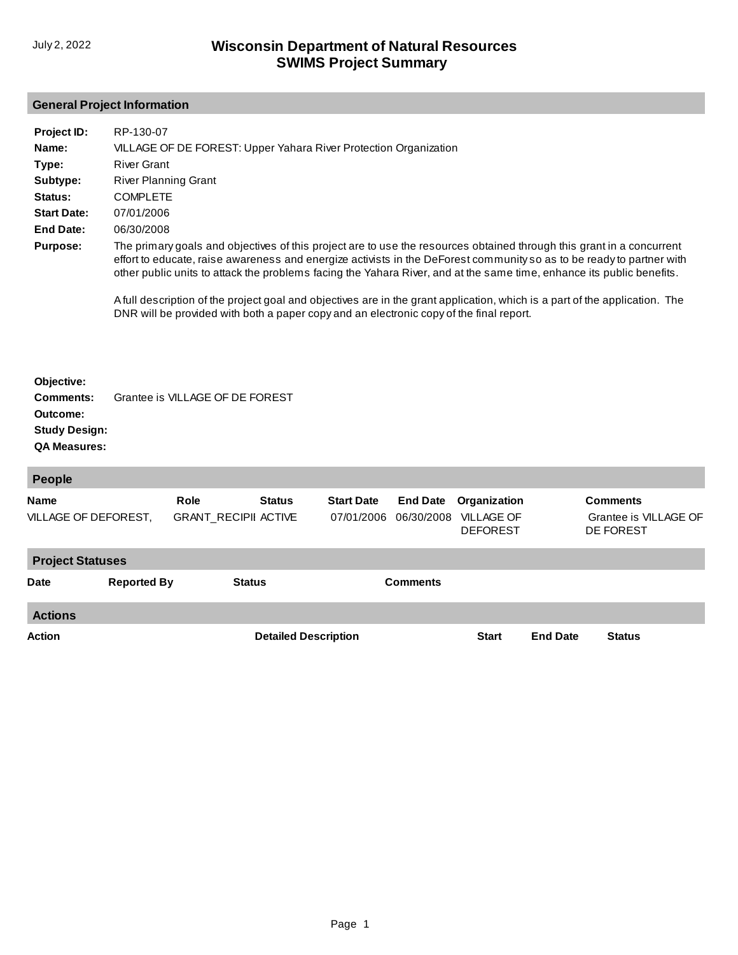## **General Project Information**

| Project ID:        | RP-130-07                                                                                                                                                                                                                                                                                                                                                               |
|--------------------|-------------------------------------------------------------------------------------------------------------------------------------------------------------------------------------------------------------------------------------------------------------------------------------------------------------------------------------------------------------------------|
| Name:              | VILLAGE OF DE FOREST: Upper Yahara River Protection Organization                                                                                                                                                                                                                                                                                                        |
| Type:              | <b>River Grant</b>                                                                                                                                                                                                                                                                                                                                                      |
| Subtype:           | <b>River Planning Grant</b>                                                                                                                                                                                                                                                                                                                                             |
| Status:            | <b>COMPLETE</b>                                                                                                                                                                                                                                                                                                                                                         |
| <b>Start Date:</b> | 07/01/2006                                                                                                                                                                                                                                                                                                                                                              |
| End Date:          | 06/30/2008                                                                                                                                                                                                                                                                                                                                                              |
| <b>Purpose:</b>    | The primary goals and objectives of this project are to use the resources obtained through this grant in a concurrent<br>effort to educate, raise awareness and energize activists in the DeForest community so as to be ready to partner with<br>other public units to attack the problems facing the Yahara River, and at the same time, enhance its public benefits. |
|                    | A full description of the project goal and objectives are in the grant application, which is a part of the application. The<br>DNR will be provided with both a paper copy and an electronic copy of the final report.                                                                                                                                                  |

## **Objective: Comments:** Grantee is VILLAGE OF DE FOREST **Outcome: Study Design: QA Measures:**

| <b>People</b>                       |                    |                                     |                             |                                 |                               |                                                      |                 |                                                       |  |
|-------------------------------------|--------------------|-------------------------------------|-----------------------------|---------------------------------|-------------------------------|------------------------------------------------------|-----------------|-------------------------------------------------------|--|
| <b>Name</b><br>VILLAGE OF DEFOREST, |                    | Role<br><b>GRANT RECIPII ACTIVE</b> | <b>Status</b>               | <b>Start Date</b><br>07/01/2006 | <b>End Date</b><br>06/30/2008 | Organization<br><b>VILLAGE OF</b><br><b>DEFOREST</b> |                 | <b>Comments</b><br>Grantee is VILLAGE OF<br>DE FOREST |  |
| <b>Project Statuses</b>             |                    |                                     |                             |                                 |                               |                                                      |                 |                                                       |  |
| <b>Date</b>                         | <b>Reported By</b> | <b>Status</b>                       |                             |                                 | <b>Comments</b>               |                                                      |                 |                                                       |  |
| <b>Actions</b>                      |                    |                                     |                             |                                 |                               |                                                      |                 |                                                       |  |
| <b>Action</b>                       |                    |                                     | <b>Detailed Description</b> |                                 |                               | <b>Start</b>                                         | <b>End Date</b> | <b>Status</b>                                         |  |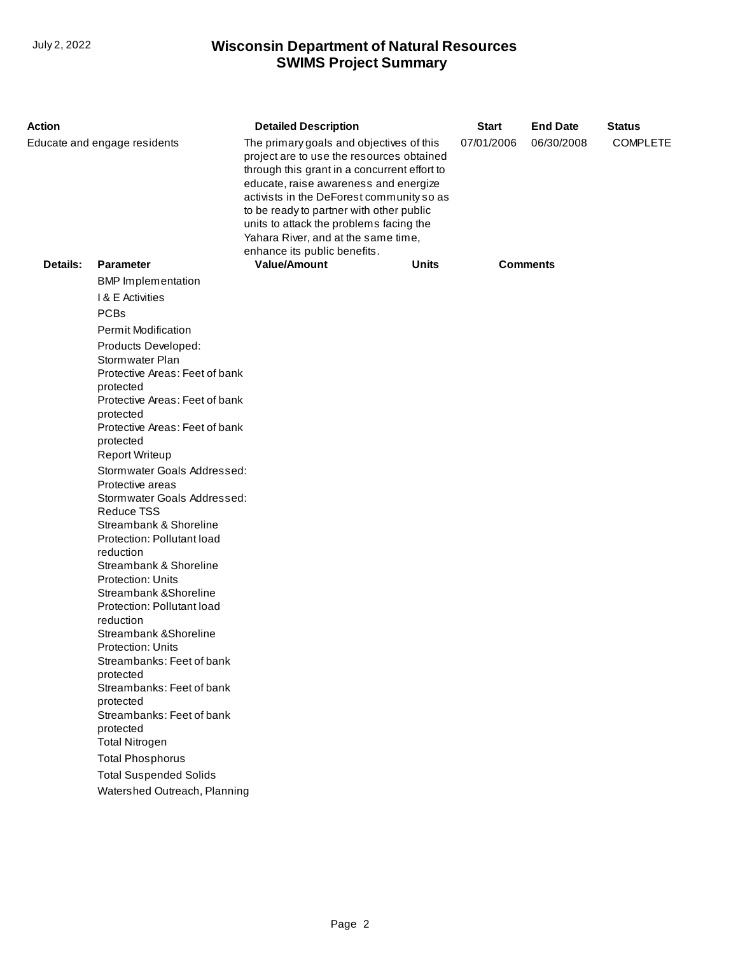## **SWIMS Project Summary** July 2, 2022 **Wisconsin Department of Natural Resources**

| Action                       |                                                                                                                                                                                                                                                                                                                                                                                                                                                                                                                                                                                                                                                                                                                                                                                                                                                                                                                            | <b>Detailed Description</b>                                                                                                                                                                                                                                                                                                                                                               |              | <b>Start</b> | <b>End Date</b> | <b>Status</b>   |
|------------------------------|----------------------------------------------------------------------------------------------------------------------------------------------------------------------------------------------------------------------------------------------------------------------------------------------------------------------------------------------------------------------------------------------------------------------------------------------------------------------------------------------------------------------------------------------------------------------------------------------------------------------------------------------------------------------------------------------------------------------------------------------------------------------------------------------------------------------------------------------------------------------------------------------------------------------------|-------------------------------------------------------------------------------------------------------------------------------------------------------------------------------------------------------------------------------------------------------------------------------------------------------------------------------------------------------------------------------------------|--------------|--------------|-----------------|-----------------|
| Educate and engage residents |                                                                                                                                                                                                                                                                                                                                                                                                                                                                                                                                                                                                                                                                                                                                                                                                                                                                                                                            | The primary goals and objectives of this<br>project are to use the resources obtained<br>through this grant in a concurrent effort to<br>educate, raise awareness and energize<br>activists in the DeForest community so as<br>to be ready to partner with other public<br>units to attack the problems facing the<br>Yahara River, and at the same time,<br>enhance its public benefits. |              | 07/01/2006   | 06/30/2008      | <b>COMPLETE</b> |
| Details:                     | <b>Parameter</b>                                                                                                                                                                                                                                                                                                                                                                                                                                                                                                                                                                                                                                                                                                                                                                                                                                                                                                           | <b>Value/Amount</b>                                                                                                                                                                                                                                                                                                                                                                       | <b>Units</b> |              | <b>Comments</b> |                 |
|                              | <b>BMP</b> Implementation<br>I & E Activities<br><b>PCBs</b><br><b>Permit Modification</b><br>Products Developed:<br>Stormwater Plan<br>Protective Areas: Feet of bank<br>protected<br>Protective Areas: Feet of bank<br>protected<br>Protective Areas: Feet of bank<br>protected<br><b>Report Writeup</b><br>Stormwater Goals Addressed:<br>Protective areas<br>Stormwater Goals Addressed:<br><b>Reduce TSS</b><br>Streambank & Shoreline<br>Protection: Pollutant load<br>reduction<br>Streambank & Shoreline<br><b>Protection: Units</b><br>Streambank & Shoreline<br>Protection: Pollutant load<br>reduction<br>Streambank & Shoreline<br><b>Protection: Units</b><br>Streambanks: Feet of bank<br>protected<br>Streambanks: Feet of bank<br>protected<br>Streambanks: Feet of bank<br>protected<br><b>Total Nitrogen</b><br><b>Total Phosphorus</b><br><b>Total Suspended Solids</b><br>Watershed Outreach, Planning |                                                                                                                                                                                                                                                                                                                                                                                           |              |              |                 |                 |
|                              |                                                                                                                                                                                                                                                                                                                                                                                                                                                                                                                                                                                                                                                                                                                                                                                                                                                                                                                            |                                                                                                                                                                                                                                                                                                                                                                                           |              |              |                 |                 |